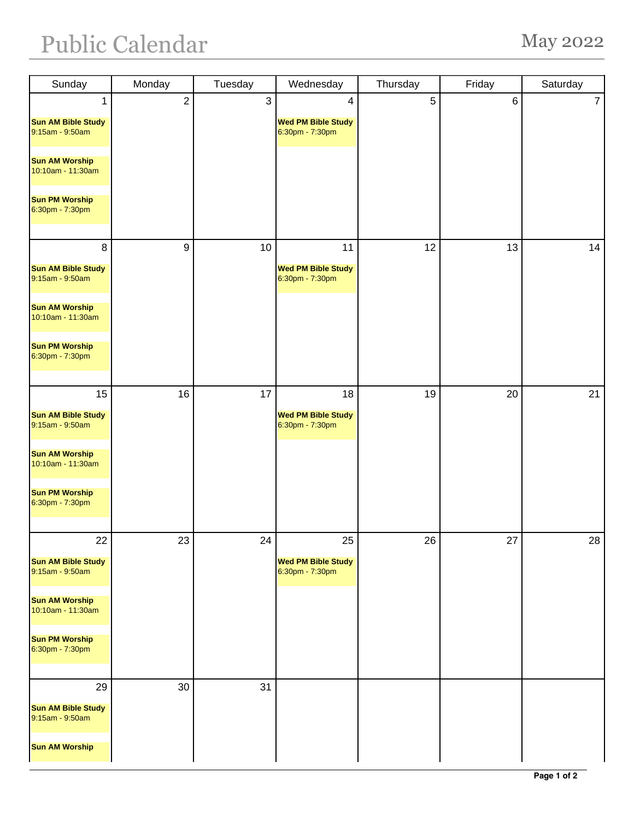## Public Calendar May 2022

| Sunday                                             | Monday           | Tuesday        | Wednesday                                    | Thursday       | Friday | Saturday       |
|----------------------------------------------------|------------------|----------------|----------------------------------------------|----------------|--------|----------------|
| 1                                                  | $\sqrt{2}$       | $\mathfrak{S}$ | 4                                            | $\overline{5}$ | 6      | $\overline{7}$ |
| <b>Sun AM Bible Study</b><br>9:15am - 9:50am       |                  |                | <b>Wed PM Bible Study</b><br>6:30pm - 7:30pm |                |        |                |
| <b>Sun AM Worship</b><br>10:10am - 11:30am         |                  |                |                                              |                |        |                |
| <b>Sun PM Worship</b><br>6:30pm - 7:30pm           |                  |                |                                              |                |        |                |
| 8                                                  | $\boldsymbol{9}$ | 10             | 11                                           | 12             | 13     | 14             |
| <b>Sun AM Bible Study</b><br>9:15am - 9:50am       |                  |                | <b>Wed PM Bible Study</b><br>6:30pm - 7:30pm |                |        |                |
| <b>Sun AM Worship</b><br>10:10am - 11:30am         |                  |                |                                              |                |        |                |
| <b>Sun PM Worship</b><br>6:30pm - 7:30pm           |                  |                |                                              |                |        |                |
| 15                                                 | 16               | 17             | 18                                           | 19             | 20     | 21             |
| <b>Sun AM Bible Study</b><br>9:15am - 9:50am       |                  |                | <b>Wed PM Bible Study</b><br>6:30pm - 7:30pm |                |        |                |
| <b>Sun AM Worship</b><br>10:10am - 11:30am         |                  |                |                                              |                |        |                |
| <b>Sun PM Worship</b><br>6:30pm - 7:30pm           |                  |                |                                              |                |        |                |
| 22                                                 | 23               | 24             | 25                                           | 26             | 27     | 28             |
| <b>Sun AM Bible Study</b><br>9:15am - 9:50am       |                  |                | <b>Wed PM Bible Study</b><br>6:30pm - 7:30pm |                |        |                |
| <b>Sun AM Worship</b><br>10:10am - 11:30am         |                  |                |                                              |                |        |                |
| <b>Sun PM Worship</b><br>6:30pm - 7:30pm           |                  |                |                                              |                |        |                |
| 29<br><b>Sun AM Bible Study</b><br>9:15am - 9:50am | 30               | 31             |                                              |                |        |                |
| <b>Sun AM Worship</b>                              |                  |                |                                              |                |        |                |